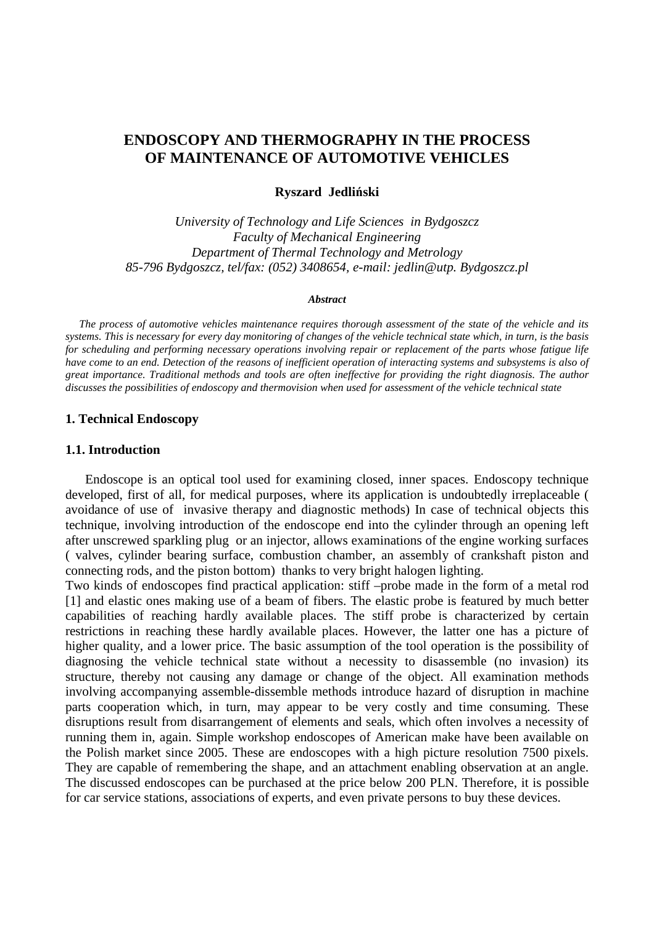# **ENDOSCOPY AND THERMOGRAPHY IN THE PROCESS OF MAINTENANCE OF AUTOMOTIVE VEHICLES**

#### **Ryszard Jedli**ń**ski**

*University of Technology and Life Sciences in Bydgoszcz Faculty of Mechanical Engineering Department of Thermal Technology and Metrology 85-796 Bydgoszcz, tel/fax: (052) 3408654, e-mail: jedlin@utp. Bydgoszcz.pl* 

#### *Abstract*

 *The process of automotive vehicles maintenance requires thorough assessment of the state of the vehicle and its systems. This is necessary for every day monitoring of changes of the vehicle technical state which, in turn, is the basis for scheduling and performing necessary operations involving repair or replacement of the parts whose fatigue life have come to an end. Detection of the reasons of inefficient operation of interacting systems and subsystems is also of great importance. Traditional methods and tools are often ineffective for providing the right diagnosis. The author discusses the possibilities of endoscopy and thermovision when used for assessment of the vehicle technical state* 

### **1. Technical Endoscopy**

#### **1.1. Introduction**

 Endoscope is an optical tool used for examining closed, inner spaces. Endoscopy technique developed, first of all, for medical purposes, where its application is undoubtedly irreplaceable ( avoidance of use of invasive therapy and diagnostic methods) In case of technical objects this technique, involving introduction of the endoscope end into the cylinder through an opening left after unscrewed sparkling plug or an injector, allows examinations of the engine working surfaces ( valves, cylinder bearing surface, combustion chamber, an assembly of crankshaft piston and connecting rods, and the piston bottom) thanks to very bright halogen lighting.

Two kinds of endoscopes find practical application: stiff –probe made in the form of a metal rod [1] and elastic ones making use of a beam of fibers. The elastic probe is featured by much better capabilities of reaching hardly available places. The stiff probe is characterized by certain restrictions in reaching these hardly available places. However, the latter one has a picture of higher quality, and a lower price. The basic assumption of the tool operation is the possibility of diagnosing the vehicle technical state without a necessity to disassemble (no invasion) its structure, thereby not causing any damage or change of the object. All examination methods involving accompanying assemble-dissemble methods introduce hazard of disruption in machine parts cooperation which, in turn, may appear to be very costly and time consuming. These disruptions result from disarrangement of elements and seals, which often involves a necessity of running them in, again. Simple workshop endoscopes of American make have been available on the Polish market since 2005. These are endoscopes with a high picture resolution 7500 pixels. They are capable of remembering the shape, and an attachment enabling observation at an angle. The discussed endoscopes can be purchased at the price below 200 PLN. Therefore, it is possible for car service stations, associations of experts, and even private persons to buy these devices.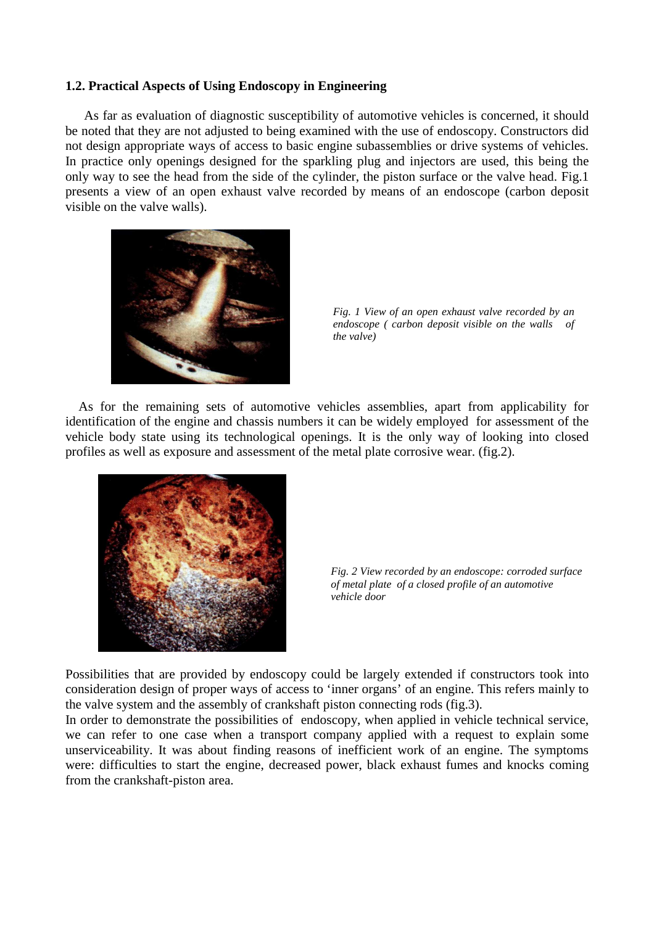# **1.2. Practical Aspects of Using Endoscopy in Engineering**

As far as evaluation of diagnostic susceptibility of automotive vehicles is concerned, it should be noted that they are not adjusted to being examined with the use of endoscopy. Constructors did not design appropriate ways of access to basic engine subassemblies or drive systems of vehicles. In practice only openings designed for the sparkling plug and injectors are used, this being the only way to see the head from the side of the cylinder, the piston surface or the valve head. Fig.1 presents a view of an open exhaust valve recorded by means of an endoscope (carbon deposit visible on the valve walls).



*Fig. 1 View of an open exhaust valve recorded by an endoscope ( carbon deposit visible on the walls of the valve)* 

 As for the remaining sets of automotive vehicles assemblies, apart from applicability for identification of the engine and chassis numbers it can be widely employed for assessment of the vehicle body state using its technological openings. It is the only way of looking into closed profiles as well as exposure and assessment of the metal plate corrosive wear. (fig.2).



*Fig. 2 View recorded by an endoscope: corroded surface of metal plate of a closed profile of an automotive vehicle door* 

Possibilities that are provided by endoscopy could be largely extended if constructors took into consideration design of proper ways of access to 'inner organs' of an engine. This refers mainly to the valve system and the assembly of crankshaft piston connecting rods (fig.3).

In order to demonstrate the possibilities of endoscopy, when applied in vehicle technical service, we can refer to one case when a transport company applied with a request to explain some unserviceability. It was about finding reasons of inefficient work of an engine. The symptoms were: difficulties to start the engine, decreased power, black exhaust fumes and knocks coming from the crankshaft-piston area.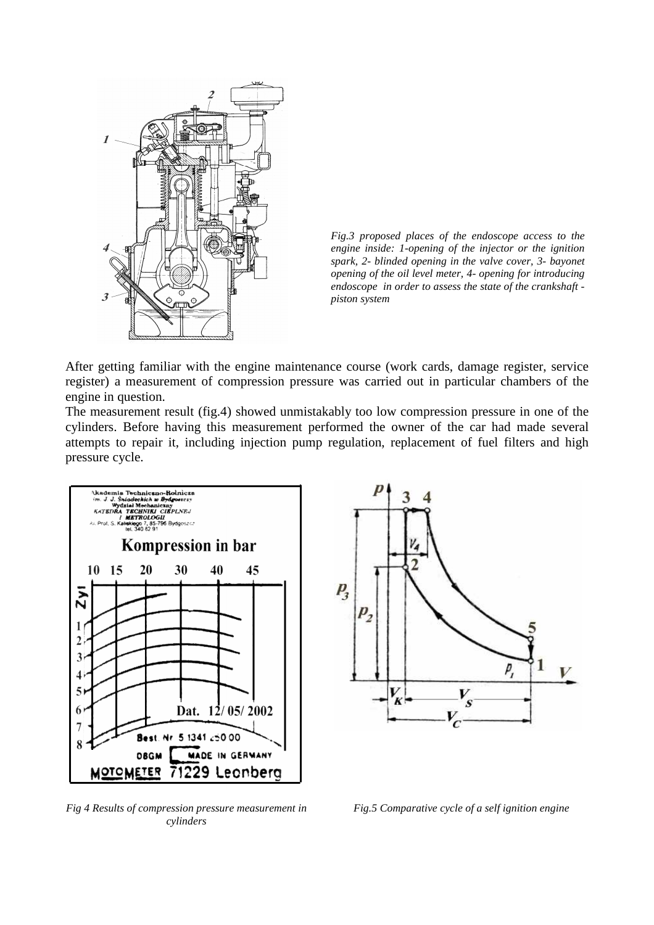

*Fig.3 proposed places of the endoscope access to the engine inside: 1-opening of the injector or the ignition spark, 2- blinded opening in the valve cover, 3- bayonet opening of the oil level meter, 4- opening for introducing endoscope in order to assess the state of the crankshaft piston system* 

After getting familiar with the engine maintenance course (work cards, damage register, service register) a measurement of compression pressure was carried out in particular chambers of the engine in question.

The measurement result (fig.4) showed unmistakably too low compression pressure in one of the cylinders. Before having this measurement performed the owner of the car had made several attempts to repair it, including injection pump regulation, replacement of fuel filters and high pressure cycle.



*Fig 4 Results of compression pressure measurement in cylinders* 



*Fig.5 Comparative cycle of a self ignition engine*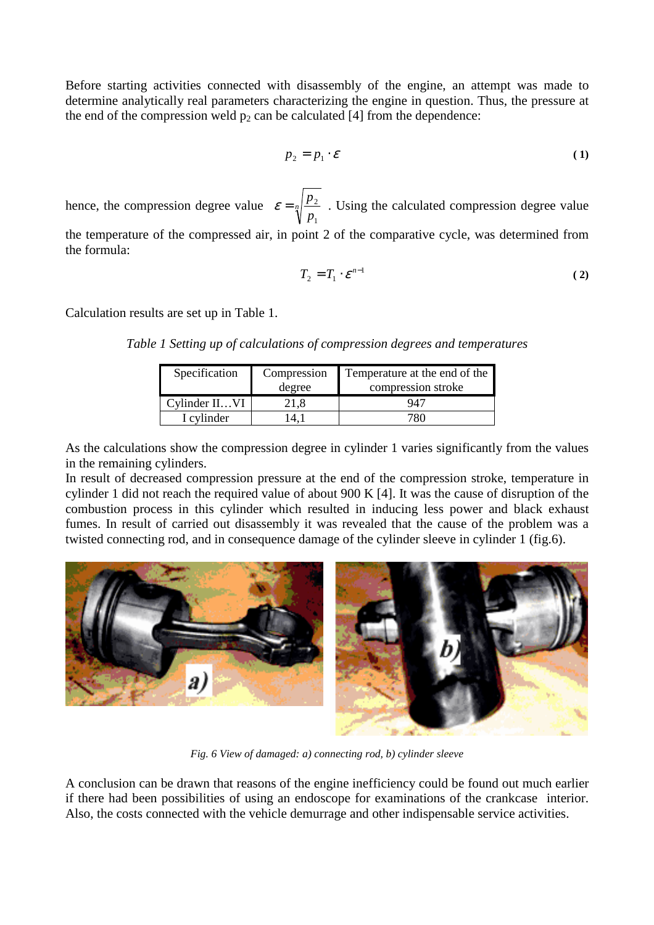Before starting activities connected with disassembly of the engine, an attempt was made to determine analytically real parameters characterizing the engine in question. Thus, the pressure at the end of the compression weld  $p_2$  can be calculated [4] from the dependence:

$$
p_2 = p_1 \cdot \mathcal{E} \tag{1}
$$

hence, the compression degree value  $\varepsilon = \frac{1}{4}$ *p p* 1  $\varepsilon = \sqrt{\frac{P_2}{P_1}}$ . Using the calculated compression degree value the temperature of the compressed air, in point 2 of the comparative cycle, was determined from the formula:

$$
T_2 = T_1 \cdot \mathcal{E}^{n-1} \tag{2}
$$

Calculation results are set up in Table 1.

*Table 1 Setting up of calculations of compression degrees and temperatures* 

| Specification | Compression | Temperature at the end of the |
|---------------|-------------|-------------------------------|
|               | degree      | compression stroke            |
| Cylinder IIVI |             |                               |
| I cylinder    |             |                               |

As the calculations show the compression degree in cylinder 1 varies significantly from the values in the remaining cylinders.

In result of decreased compression pressure at the end of the compression stroke, temperature in cylinder 1 did not reach the required value of about 900 K [4]. It was the cause of disruption of the combustion process in this cylinder which resulted in inducing less power and black exhaust fumes. In result of carried out disassembly it was revealed that the cause of the problem was a twisted connecting rod, and in consequence damage of the cylinder sleeve in cylinder 1 (fig.6).



*Fig. 6 View of damaged: a) connecting rod, b) cylinder sleeve* 

A conclusion can be drawn that reasons of the engine inefficiency could be found out much earlier if there had been possibilities of using an endoscope for examinations of the crankcase interior. Also, the costs connected with the vehicle demurrage and other indispensable service activities.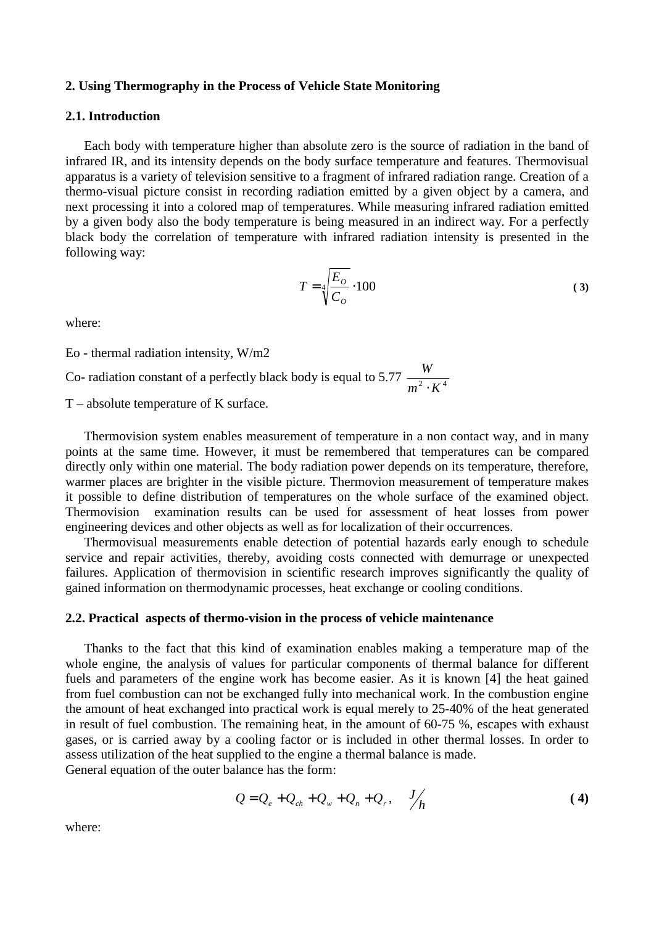#### **2. Using Thermography in the Process of Vehicle State Monitoring**

# **2.1. Introduction**

Each body with temperature higher than absolute zero is the source of radiation in the band of infrared IR, and its intensity depends on the body surface temperature and features. Thermovisual apparatus is a variety of television sensitive to a fragment of infrared radiation range. Creation of a thermo-visual picture consist in recording radiation emitted by a given object by a camera, and next processing it into a colored map of temperatures. While measuring infrared radiation emitted by a given body also the body temperature is being measured in an indirect way. For a perfectly black body the correlation of temperature with infrared radiation intensity is presented in the following way:

$$
T = \sqrt[4]{\frac{E_o}{C_o}} \cdot 100
$$
 (3)

where:

Eo - thermal radiation intensity, W/m2

Co- radiation constant of a perfectly black body is equal to 5.77  $\frac{W}{m^2 \cdot K^4}$ *W* ⋅

T – absolute temperature of K surface.

Thermovision system enables measurement of temperature in a non contact way, and in many points at the same time. However, it must be remembered that temperatures can be compared directly only within one material. The body radiation power depends on its temperature, therefore, warmer places are brighter in the visible picture. Thermovion measurement of temperature makes it possible to define distribution of temperatures on the whole surface of the examined object. Thermovision examination results can be used for assessment of heat losses from power engineering devices and other objects as well as for localization of their occurrences.

Thermovisual measurements enable detection of potential hazards early enough to schedule service and repair activities, thereby, avoiding costs connected with demurrage or unexpected failures. Application of thermovision in scientific research improves significantly the quality of gained information on thermodynamic processes, heat exchange or cooling conditions.

# **2.2. Practical aspects of thermo-vision in the process of vehicle maintenance**

Thanks to the fact that this kind of examination enables making a temperature map of the whole engine, the analysis of values for particular components of thermal balance for different fuels and parameters of the engine work has become easier. As it is known [4] the heat gained from fuel combustion can not be exchanged fully into mechanical work. In the combustion engine the amount of heat exchanged into practical work is equal merely to 25-40% of the heat generated in result of fuel combustion. The remaining heat, in the amount of 60-75 %, escapes with exhaust gases, or is carried away by a cooling factor or is included in other thermal losses. In order to assess utilization of the heat supplied to the engine a thermal balance is made. General equation of the outer balance has the form:

$$
Q = Q_e + Q_{ch} + Q_w + Q_n + Q_r, \quad \frac{J}{h}
$$
 (4)

where: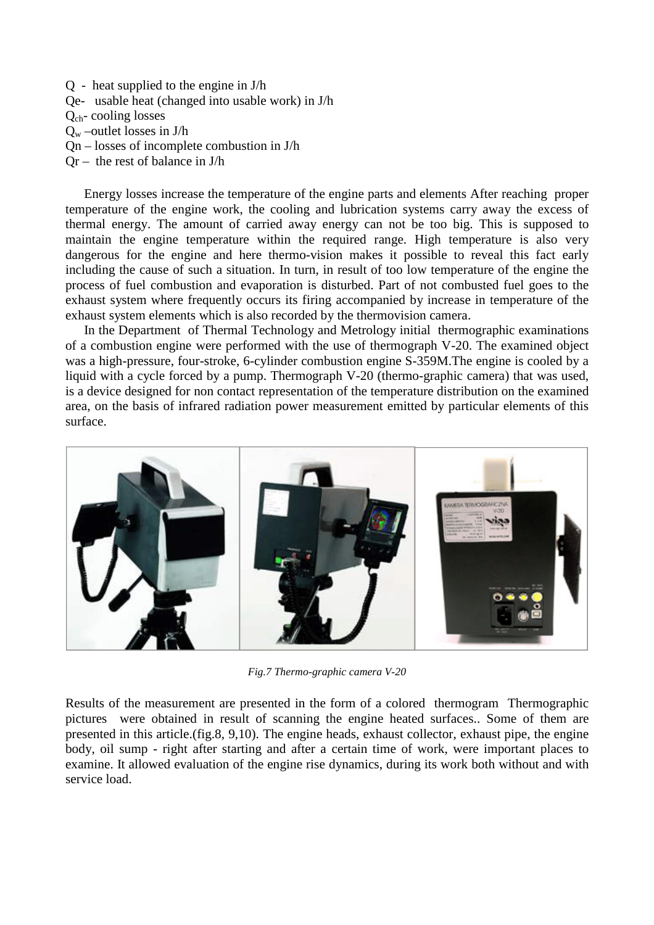Q - heat supplied to the engine in J/h Qe- usable heat (changed into usable work) in J/h Qch- cooling losses  $Q_w$  –outlet losses in J/h Qn – losses of incomplete combustion in J/h  $Qr -$  the rest of balance in J/h

Energy losses increase the temperature of the engine parts and elements After reaching proper temperature of the engine work, the cooling and lubrication systems carry away the excess of thermal energy. The amount of carried away energy can not be too big. This is supposed to maintain the engine temperature within the required range. High temperature is also very dangerous for the engine and here thermo-vision makes it possible to reveal this fact early including the cause of such a situation. In turn, in result of too low temperature of the engine the process of fuel combustion and evaporation is disturbed. Part of not combusted fuel goes to the exhaust system where frequently occurs its firing accompanied by increase in temperature of the exhaust system elements which is also recorded by the thermovision camera.

In the Department of Thermal Technology and Metrology initial thermographic examinations of a combustion engine were performed with the use of thermograph V-20. The examined object was a high-pressure, four-stroke, 6-cylinder combustion engine S-359M.The engine is cooled by a liquid with a cycle forced by a pump. Thermograph V-20 (thermo-graphic camera) that was used, is a device designed for non contact representation of the temperature distribution on the examined area, on the basis of infrared radiation power measurement emitted by particular elements of this surface.



*Fig.7 Thermo-graphic camera V-20* 

Results of the measurement are presented in the form of a colored thermogram Thermographic pictures were obtained in result of scanning the engine heated surfaces.. Some of them are presented in this article.(fig.8, 9,10). The engine heads, exhaust collector, exhaust pipe, the engine body, oil sump - right after starting and after a certain time of work, were important places to examine. It allowed evaluation of the engine rise dynamics, during its work both without and with service load.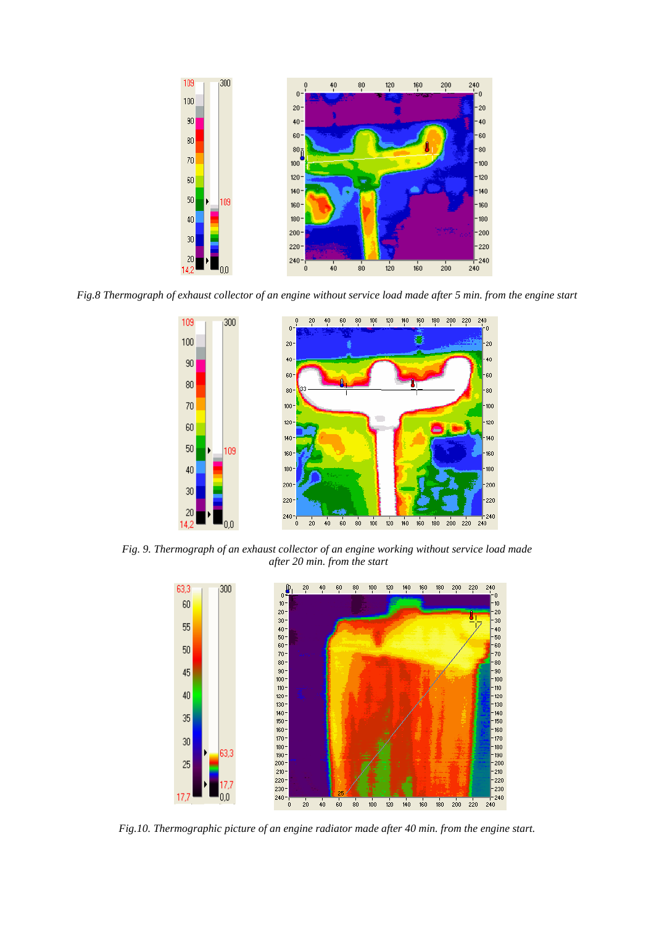

*Fig.8 Thermograph of exhaust collector of an engine without service load made after 5 min. from the engine start* 



*Fig. 9. Thermograph of an exhaust collector of an engine working without service load made after 20 min. from the start* 



*Fig.10. Thermographic picture of an engine radiator made after 40 min. from the engine start.*